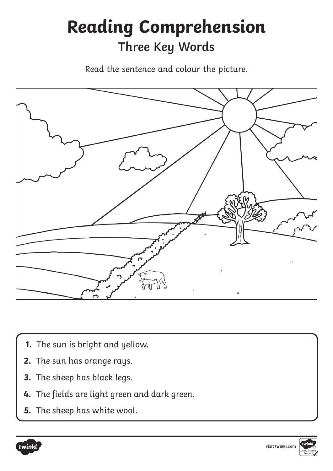

- **1.** The sun is bright and yellow.
- **2.** The sun has orange rays.
- **3.** The sheep has black legs.
- **4.** The fields are light green and dark green.
- **5.** The sheep has white wool.



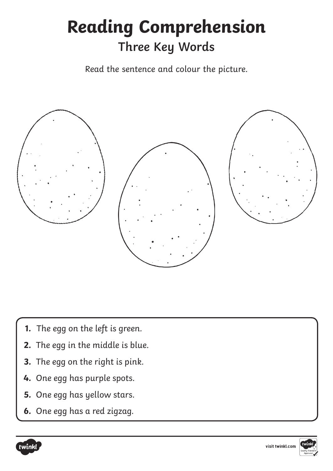

- **1.** The egg on the left is green.
- **2.** The egg in the middle is blue.
- **3.** The egg on the right is pink.
- **4.** One egg has purple spots.
- **5.** One egg has yellow stars.
- **6.** One egg has a red zigzag.



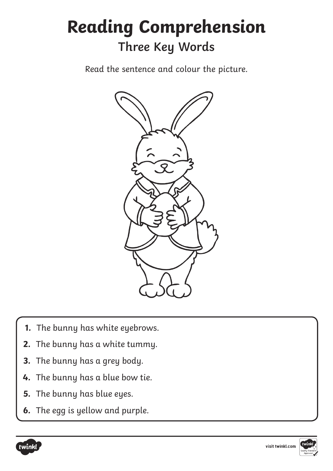

- **1.** The bunny has white eyebrows.
- **2.** The bunny has a white tummy.
- **3.** The bunny has a grey body.
- **4.** The bunny has a blue bow tie.
- **5.** The bunny has blue eyes.
- **6.** The egg is yellow and purple.



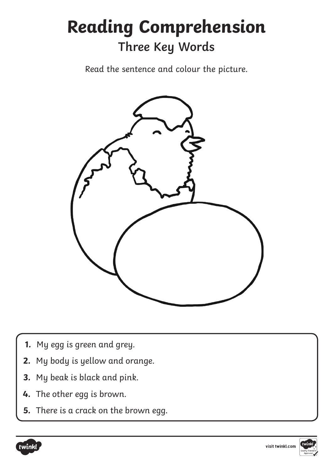

- **1.** My egg is green and grey.
- **2.** My body is yellow and orange.
- **3.** My beak is black and pink.
- **4.** The other egg is brown.
- **5.** There is a crack on the brown egg.